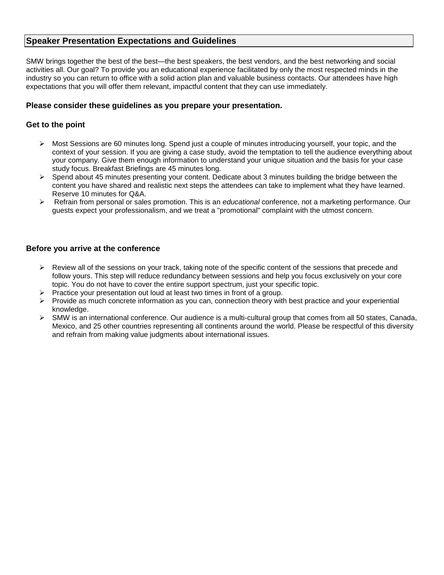# **Speaker Presentation Expectations and Guidelines**

SMW brings together the best of the best—the best speakers, the best vendors, and the best networking and social activities all. Our goal? To provide you an educational experience facilitated by only the most respected minds in the industry so you can return to office with a solid action plan and valuable business contacts. Our attendees have high expectations that you will offer them relevant, impactful content that they can use immediately.

#### **Please consider these guidelines as you prepare your presentation.**

#### **Get to the point**

- Most Sessions are 60 minutes long. Spend just a couple of minutes introducing yourself, your topic, and the context of your session. If you are giving a case study, avoid the temptation to tell the audience everything about your company. Give them enough information to understand your unique situation and the basis for your case study focus. Breakfast Briefings are 45 minutes long.
- $\triangleright$  Spend about 45 minutes presenting your content. Dedicate about 3 minutes building the bridge between the content you have shared and realistic next steps the attendees can take to implement what they have learned. Reserve 10 minutes for Q&A.
- Refrain from personal or sales promotion. This is an *educational* conference, not a marketing performance. Our guests expect your professionalism, and we treat a "promotional" complaint with the utmost concern.

#### **Before you arrive at the conference**

- $\triangleright$  Review all of the sessions on your track, taking note of the specific content of the sessions that precede and follow yours. This step will reduce redundancy between sessions and help you focus exclusively on your core topic. You do not have to cover the entire support spectrum, just your specific topic.
- $\triangleright$  Practice your presentation out loud at least two times in front of a group.
- $\triangleright$  Provide as much concrete information as you can, connection theory with best practice and your experiential knowledge.
- $\triangleright$  SMW is an international conference. Our audience is a multi-cultural group that comes from all 50 states, Canada, Mexico, and 25 other countries representing all continents around the world. Please be respectful of this diversity and refrain from making value judgments about international issues.